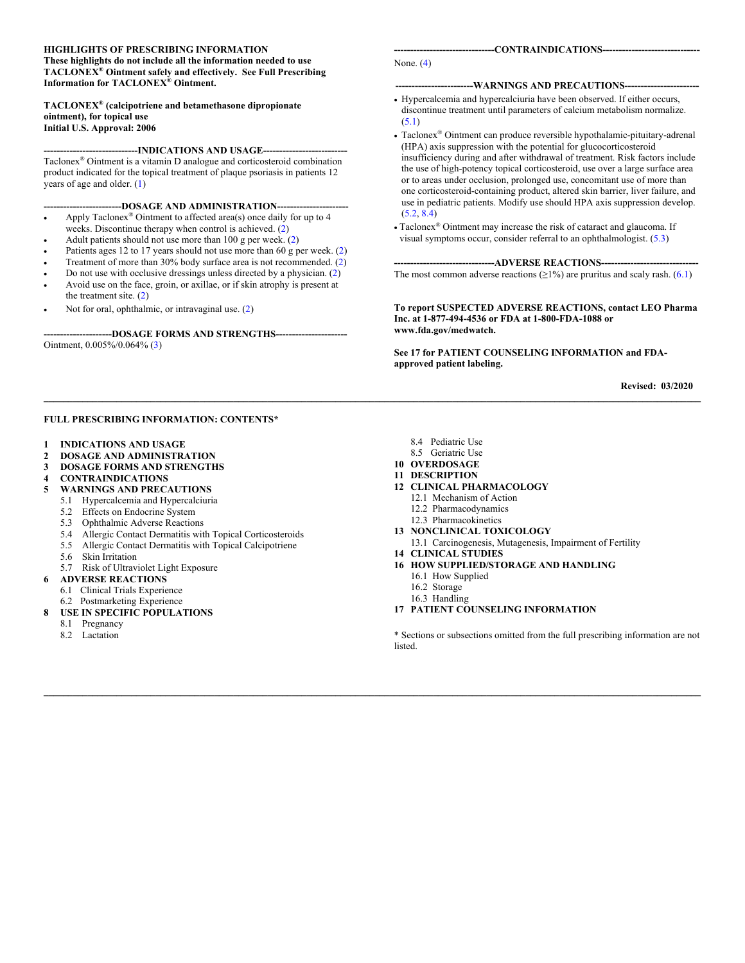#### **HIGHLIGHTS OF PRESCRIBING INFORMATION**

**These highlights do not include all the information needed to use TACLONEX® Ointment safely and effectively. See Full Prescribing Information for TACLONEX® Ointment.**

#### **TACLONEX® (calcipotriene and betamethasone dipropionate ointment), for topical use Initial U.S. Approval: 2006**

#### **-----------------------------INDICATIONS AND USAGE--------------------------**

Taclonex® Ointment is a vitamin D analogue and corticosteroid combination product indicated for the topical treatment of plaque psoriasis in patients 12 years of age and older. [\(1\)](#page-1-0) 

---DOSAGE AND ADMINISTRATION--

- Apply Taclonex<sup>®</sup> Ointment to affected area(s) once daily for up to 4 weeks. Discontinue therapy when control is achieved. [\(2\)](#page-1-1)
- Adult patients should not use more than  $100$  g per week.  $(2)$
- Patients ages 12 to 17 years should not use more than 60 g per week. [\(2\)](#page-1-1)
- Treatment of more than 30% body surface area is not recommended. [\(2\)](#page-1-1)
- Do not use with occlusive dressings unless directed by a physician. [\(2\)](#page-1-1)
- Avoid use on the face, groin, or axillae, or if skin atrophy is present at the treatment site.  $(2)$
- Not for oral, ophthalmic, or intravaginal use. [\(2\)](#page-1-1)

--DOSAGE FORMS AND STRENGTHS---Ointment, 0.005%/0.064% [\(3\)](#page-1-2)

#### **-------------------------------CONTRAINDICATIONS------------------------------**

None. [\(4\)](#page-1-3)

#### **------------------------WARNINGS AND PRECAUTIONS-----------------------**

- Hypercalcemia and hypercalciuria have been observed. If either occurs, discontinue treatment until parameters of calcium metabolism normalize.  $(5.1)$
- Taclonex® Ointment can produce reversible hypothalamic-pituitary-adrenal (HPA) axis suppression with the potential for glucocorticosteroid insufficiency during and after withdrawal of treatment. Risk factors include the use of high-potency topical corticosteroid, use over a large surface area or to areas under occlusion, prolonged use, concomitant use of more than one corticosteroid-containing product, altered skin barrier, liver failure, and use in pediatric patients. Modify use should HPA axis suppression develop. [\(5.2,](#page-1-5) [8.4\)](#page-5-0)
- Taclonex® Ointment may increase the risk of cataract and glaucoma. If visual symptoms occur, consider referral to an ophthalmologist. [\(5.3\)](#page-1-6)

#### **-------------------------------ADVERSE REACTIONS------------------------------**

The most common adverse reactions  $(\geq 1\%)$  are pruritus and scaly rash.  $(6.1)$ 

#### **To report SUSPECTED ADVERSE REACTIONS, contact LEO Pharma Inc. at 1-877-494-4536 or FDA at 1-800-FDA-1088 or www.fda.gov/medwatch.**

**See 17 for PATIENT COUNSELING INFORMATION and FDAapproved patient labeling.**

**Revised: 03/2020**

#### **FULL PRESCRIBING INFORMATION: CONTENTS\***

- **1 [INDICATIONS AND USAGE](#page-1-0)**
- **2 [DOSAGE AND ADMINISTRATION](#page-1-1)**
- **3 [DOSAGE FORMS AND STRENGTHS](#page-1-2)**
- **4 [CONTRAINDICATIONS](#page-1-3)**
- **5 [WARNINGS AND PRECAUTIONS](#page-1-7)**
	- 5.1 [Hypercalcemia and Hypercalciuria](#page-1-4)
	- 5.2 [Effects on Endocrine System](#page-1-5)
	- 5.3 [Ophthalmic Adverse Reactions](#page-1-6)
	- 5.4 [Allergic Contact Dermatitis with Topical Corticosteroids](#page-1-6)
	- 5.5 [Allergic Contact Dermatitis with Topical Calcipotriene](#page-2-0)
	- 5.6 [Skin Irritation](#page-2-1)
	- 5.7 [Risk of Ultraviolet Light Exposure](#page-2-2)
- **6 [ADVERSE REACTIONS](#page-2-3)**
	- 6.1 [Clinical Trials Experience](#page-2-4)
	- 6.2 [Postmarketing Experience](#page-3-0)
- **8 [USE IN SPECIFIC POPULATIONS](#page-3-1)**
	- 8.1 [Pregnancy](#page-3-2)
	- 8.2 [Lactation](#page-5-1)

8.4 [Pediatric Use](#page-5-0)

- 8.5 [Geriatric Use](#page-5-2)
- **10 [OVERDOSAGE](#page-5-3)**

**\_\_\_\_\_\_\_\_\_\_\_\_\_\_\_\_\_\_\_\_\_\_\_\_\_\_\_\_\_\_\_\_\_\_\_\_\_\_\_\_\_\_\_\_\_\_\_\_\_\_\_\_\_\_\_\_\_\_\_\_\_\_\_\_\_\_\_\_\_\_\_\_\_\_\_\_\_\_\_\_\_\_\_\_\_\_\_\_\_\_\_\_\_\_\_\_\_\_\_\_\_\_\_\_\_\_\_\_\_\_\_\_\_\_\_\_\_\_\_\_\_\_\_\_\_\_\_\_\_\_\_\_\_\_\_**

**\_\_\_\_\_\_\_\_\_\_\_\_\_\_\_\_\_\_\_\_\_\_\_\_\_\_\_\_\_\_\_\_\_\_\_\_\_\_\_\_\_\_\_\_\_\_\_\_\_\_\_\_\_\_\_\_\_\_\_\_\_\_\_\_\_\_\_\_\_\_\_\_\_\_\_\_\_\_\_\_\_\_\_\_\_\_\_\_\_\_\_\_\_\_\_\_\_\_\_\_\_\_\_\_\_\_\_\_\_\_\_\_\_\_\_\_\_\_\_\_\_\_\_\_\_\_\_\_\_\_\_\_\_\_\_**

- **11 [DESCRIPTION](#page-5-4)**
- **12 [CLINICAL PHARMACOLOGY](#page-6-0)**
	- 12.1 [Mechanism of Action](#page-6-1)
	- 12.2 [Pharmacodynamics](#page-6-2)
	- 12.3 [Pharmacokinetics](#page-7-0)
- **13 [NONCLINICAL TOXICOLOGY](#page-7-1)**
- 13.1 [Carcinogenesis, Mutagenesis, Impairment of Fertility](#page-7-2)
- **14 [CLINICAL STUDIES](#page-8-1)**
- **16 [HOW SUPPLIED/STORAGE AND HANDLING](#page-8-2)**
	- 16.1 [How Supplied](#page-8-0)
	- 16.2 [Storage](#page-8-3)
	- 16.3 [Handling](#page-9-0)
- **17 [PATIENT COUNSELING INFORMATION](#page-9-1)**

\* Sections or subsections omitted from the full prescribing information are not listed.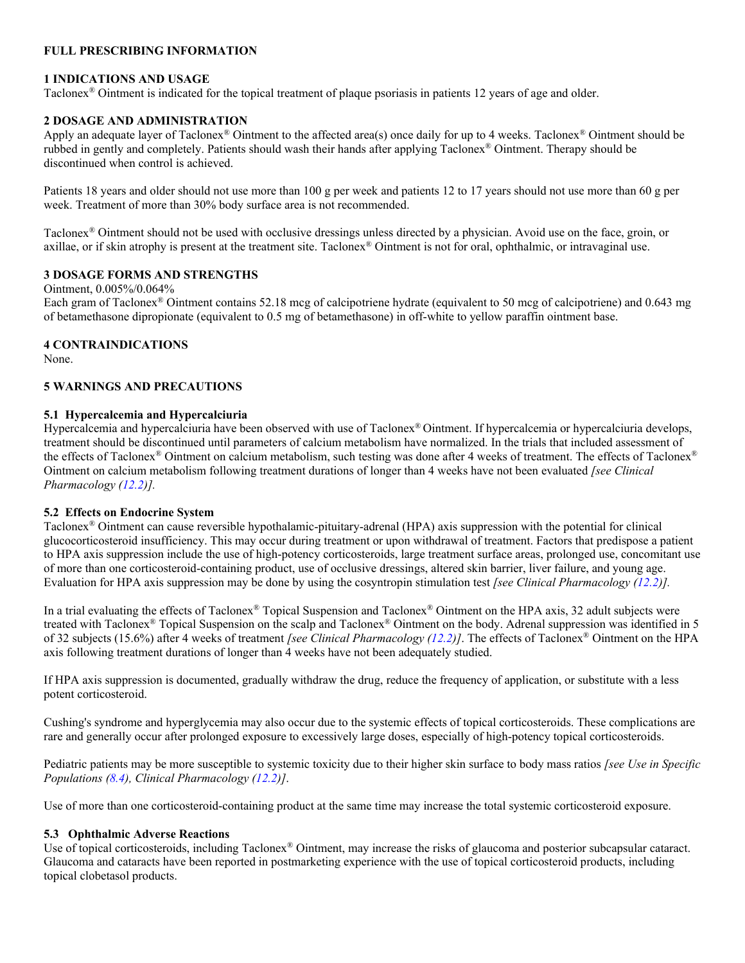# **FULL PRESCRIBING INFORMATION**

### <span id="page-1-0"></span>**1 INDICATIONS AND USAGE**

Taclonex® Ointment is indicated for the topical treatment of plaque psoriasis in patients 12 years of age and older.

### <span id="page-1-1"></span>**2 DOSAGE AND ADMINISTRATION**

Apply an adequate layer of Taclonex® Ointment to the affected area(s) once daily for up to 4 weeks. Taclonex® Ointment should be rubbed in gently and completely. Patients should wash their hands after applying Taclonex® Ointment. Therapy should be discontinued when control is achieved.

Patients 18 years and older should not use more than 100 g per week and patients 12 to 17 years should not use more than 60 g per week. Treatment of more than 30% body surface area is not recommended.

Taclonex® Ointment should not be used with occlusive dressings unless directed by a physician. Avoid use on the face, groin, or axillae, or if skin atrophy is present at the treatment site. Taclonex® Ointment is not for oral, ophthalmic, or intravaginal use.

# <span id="page-1-2"></span>**3 DOSAGE FORMS AND STRENGTHS**

Ointment, 0.005%/0.064%

Each gram of Taclonex® Ointment contains 52.18 mcg of calcipotriene hydrate (equivalent to 50 mcg of calcipotriene) and 0.643 mg of betamethasone dipropionate (equivalent to 0.5 mg of betamethasone) in off-white to yellow paraffin ointment base.

### <span id="page-1-3"></span>**4 CONTRAINDICATIONS**

None.

### <span id="page-1-7"></span>**5 WARNINGS AND PRECAUTIONS**

#### <span id="page-1-4"></span>**5.1 Hypercalcemia and Hypercalciuria**

Hypercalcemia and hypercalciuria have been observed with use of Taclonex® Ointment. If hypercalcemia or hypercalciuria develops, treatment should be discontinued until parameters of calcium metabolism have normalized. In the trials that included assessment of the effects of Taclonex® Ointment on calcium metabolism, such testing was done after 4 weeks of treatment. The effects of Taclonex® Ointment on calcium metabolism following treatment durations of longer than 4 weeks have not been evaluated *[see Clinical Pharmacology [\(12.2\)](#page-6-2)].*

#### <span id="page-1-5"></span>**5.2 Effects on Endocrine System**

Taclonex® Ointment can cause reversible hypothalamic-pituitary-adrenal (HPA) axis suppression with the potential for clinical glucocorticosteroid insufficiency. This may occur during treatment or upon withdrawal of treatment. Factors that predispose a patient to HPA axis suppression include the use of high-potency corticosteroids, large treatment surface areas, prolonged use, concomitant use of more than one corticosteroid-containing product, use of occlusive dressings, altered skin barrier, liver failure, and young age. Evaluation for HPA axis suppression may be done by using the cosyntropin stimulation test *[see Clinical Pharmacology [\(12.2\)](#page-6-2)].* 

In a trial evaluating the effects of Taclonex® Topical Suspension and Taclonex® Ointment on the HPA axis, 32 adult subjects were treated with Taclonex® Topical Suspension on the scalp and Taclonex® Ointment on the body. Adrenal suppression was identified in 5 of 32 subjects (15.6%) after 4 weeks of treatment *[see Clinical Pharmacology [\(12.2\)](#page-6-2)]*. The effects of Taclonex® Ointment on the HPA axis following treatment durations of longer than 4 weeks have not been adequately studied.

If HPA axis suppression is documented, gradually withdraw the drug, reduce the frequency of application, or substitute with a less potent corticosteroid.

Cushing's syndrome and hyperglycemia may also occur due to the systemic effects of topical corticosteroids. These complications are rare and generally occur after prolonged exposure to excessively large doses, especially of high-potency topical corticosteroids.

Pediatric patients may be more susceptible to systemic toxicity due to their higher skin surface to body mass ratios *[see Use in Specific Populations [\(8.4\)](#page-5-0), Clinical Pharmacology [\(12.2\)](#page-6-2)]*.

Use of more than one corticosteroid-containing product at the same time may increase the total systemic corticosteroid exposure.

#### <span id="page-1-6"></span>**5.3 Ophthalmic Adverse Reactions**

Use of topical corticosteroids, including Taclonex® Ointment, may increase the risks of glaucoma and posterior subcapsular cataract. Glaucoma and cataracts have been reported in postmarketing experience with the use of topical corticosteroid products, including topical clobetasol products.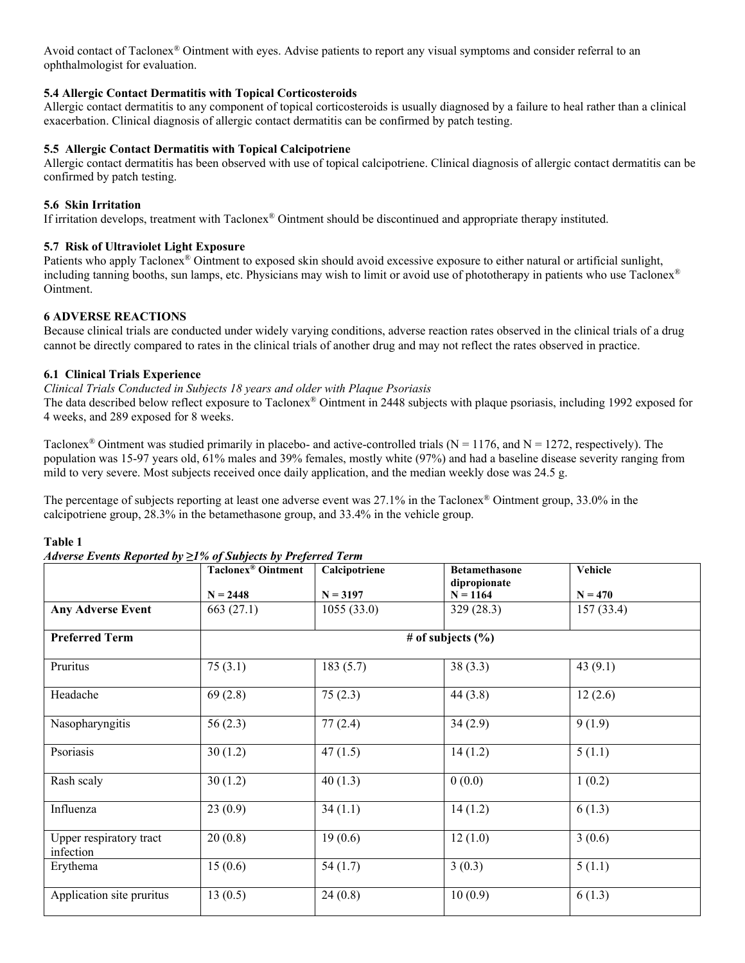Avoid contact of Taclonex® Ointment with eyes. Advise patients to report any visual symptoms and consider referral to an ophthalmologist for evaluation.

### **5.4 Allergic Contact Dermatitis with Topical Corticosteroids**

Allergic contact dermatitis to any component of topical corticosteroids is usually diagnosed by a failure to heal rather than a clinical exacerbation. Clinical diagnosis of allergic contact dermatitis can be confirmed by patch testing.

### <span id="page-2-0"></span>**5.5 Allergic Contact Dermatitis with Topical Calcipotriene**

Allergic contact dermatitis has been observed with use of topical calcipotriene. Clinical diagnosis of allergic contact dermatitis can be confirmed by patch testing.

### <span id="page-2-1"></span>**5.6 Skin Irritation**

If irritation develops, treatment with Taclonex® Ointment should be discontinued and appropriate therapy instituted.

# <span id="page-2-2"></span>**5.7 Risk of Ultraviolet Light Exposure**

Patients who apply Taclonex® Ointment to exposed skin should avoid excessive exposure to either natural or artificial sunlight, including tanning booths, sun lamps, etc. Physicians may wish to limit or avoid use of phototherapy in patients who use Taclonex® Ointment.

# <span id="page-2-3"></span>**6 ADVERSE REACTIONS**

Because clinical trials are conducted under widely varying conditions, adverse reaction rates observed in the clinical trials of a drug cannot be directly compared to rates in the clinical trials of another drug and may not reflect the rates observed in practice.

# <span id="page-2-4"></span>**6.1 Clinical Trials Experience**

### *Clinical Trials Conducted in Subjects 18 years and older with Plaque Psoriasis*

The data described below reflect exposure to Taclonex® Ointment in 2448 subjects with plaque psoriasis, including 1992 exposed for 4 weeks, and 289 exposed for 8 weeks.

Taclonex<sup>®</sup> Ointment was studied primarily in placebo- and active-controlled trials ( $N = 1176$ , and  $N = 1272$ , respectively). The population was 15-97 years old, 61% males and 39% females, mostly white (97%) and had a baseline disease severity ranging from mild to very severe. Most subjects received once daily application, and the median weekly dose was 24.5 g.

The percentage of subjects reporting at least one adverse event was 27.1% in the Taclonex<sup>®</sup> Ointment group, 33.0% in the calcipotriene group, 28.3% in the betamethasone group, and 33.4% in the vehicle group.

### **Table 1**

|                                      | <b>Taclonex®</b> Ointment | Calcipotriene | <b>Betamethasone</b>       | Vehicle    |  |
|--------------------------------------|---------------------------|---------------|----------------------------|------------|--|
|                                      | $N = 2448$                | $N = 3197$    | dipropionate<br>$N = 1164$ | $N = 470$  |  |
| <b>Any Adverse Event</b>             | 663 (27.1)                | 1055(33.0)    | 329(28.3)                  | 157(33.4)  |  |
| <b>Preferred Term</b>                | # of subjects $(\% )$     |               |                            |            |  |
| Pruritus                             | 75(3.1)                   | 183(5.7)      | 38(3.3)                    | 43 $(9.1)$ |  |
| Headache                             | 69(2.8)                   | 75(2.3)       | 44(3.8)                    | 12(2.6)    |  |
| Nasopharyngitis                      | 56(2.3)                   | 77(2.4)       | 34(2.9)                    | 9(1.9)     |  |
| Psoriasis                            | 30(1.2)                   | 47(1.5)       | 14(1.2)                    | 5(1.1)     |  |
| Rash scaly                           | 30(1.2)                   | 40(1.3)       | 0(0.0)                     | 1(0.2)     |  |
| Influenza                            | 23(0.9)                   | 34(1.1)       | 14(1.2)                    | 6(1.3)     |  |
| Upper respiratory tract<br>infection | 20(0.8)                   | 19(0.6)       | 12(1.0)                    | 3(0.6)     |  |
| Erythema                             | 15(0.6)                   | 54(1.7)       | 3(0.3)                     | 5(1.1)     |  |
| Application site pruritus            | 13(0.5)                   | 24(0.8)       | 10(0.9)                    | 6(1.3)     |  |

### *Adverse Events Reported by ≥1% of Subjects by Preferred Term*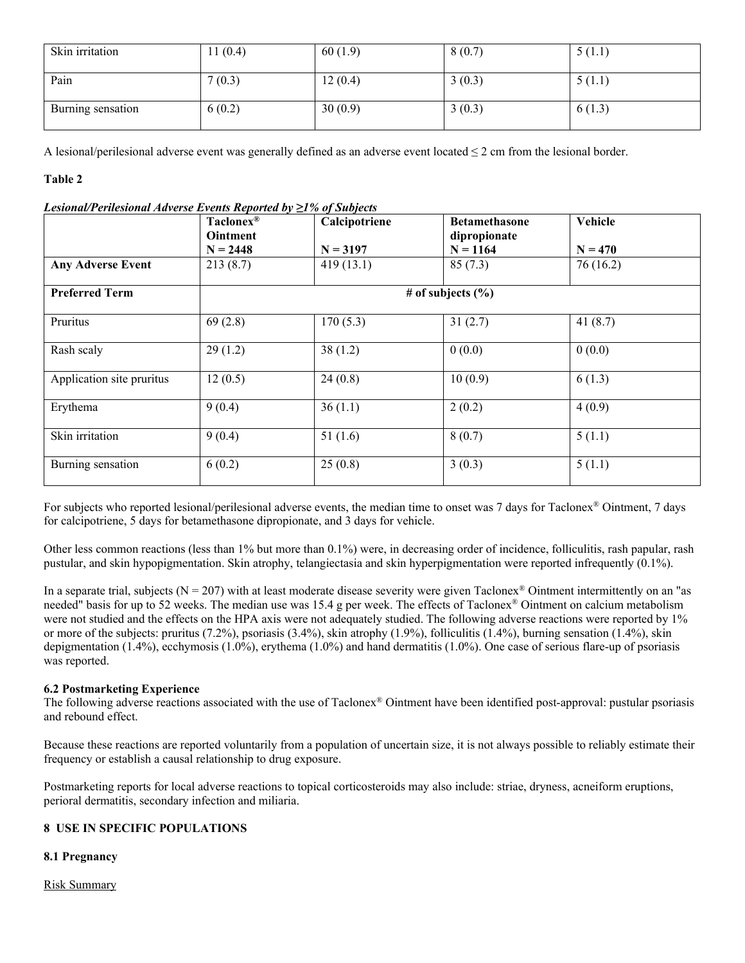| Skin irritation   | 11(0.4) | 60(1.9) | 8(0.7) | 5(1.1) |
|-------------------|---------|---------|--------|--------|
| Pain              | 7(0.3)  | 12(0.4) | 3(0.3) | 5(1.1) |
| Burning sensation | 6(0.2)  | 30(0.9) | 3(0.3) | 6(1.3) |

A lesional/perilesional adverse event was generally defined as an adverse event located  $\leq 2$  cm from the lesional border.

# **Table 2**

| Lesional/Perilesional Adverse Events Reported by $\geq$ 1% of Subjects |  |
|------------------------------------------------------------------------|--|
|                                                                        |  |

|                           | Taclonex <sup>®</sup><br><b>Ointment</b><br>$N = 2448$ | Calcipotriene<br>$N = 3197$ | <b>Betamethasone</b><br>dipropionate<br>$N = 1164$ | Vehicle<br>$N = 470$ |  |
|---------------------------|--------------------------------------------------------|-----------------------------|----------------------------------------------------|----------------------|--|
| <b>Any Adverse Event</b>  | 213(8.7)                                               | 419(13.1)                   | 85(7.3)                                            | 76(16.2)             |  |
| <b>Preferred Term</b>     | # of subjects $(\% )$                                  |                             |                                                    |                      |  |
| Pruritus                  | 69(2.8)                                                | 170(5.3)                    | 31(2.7)                                            | 41 $(8.7)$           |  |
| Rash scaly                | 29(1.2)                                                | 38(1.2)                     | 0(0.0)                                             | 0(0.0)               |  |
| Application site pruritus | 12(0.5)                                                | 24(0.8)                     | 10(0.9)                                            | 6(1.3)               |  |
| Erythema                  | 9(0.4)                                                 | 36(1.1)                     | 2(0.2)                                             | 4(0.9)               |  |
| Skin irritation           | 9(0.4)                                                 | 51(1.6)                     | 8(0.7)                                             | 5(1.1)               |  |
| Burning sensation         | 6(0.2)                                                 | 25(0.8)                     | 3(0.3)                                             | 5(1.1)               |  |

For subjects who reported lesional/perilesional adverse events, the median time to onset was 7 days for Taclonex® Ointment, 7 days for calcipotriene, 5 days for betamethasone dipropionate, and 3 days for vehicle.

Other less common reactions (less than 1% but more than 0.1%) were, in decreasing order of incidence, folliculitis, rash papular, rash pustular, and skin hypopigmentation. Skin atrophy, telangiectasia and skin hyperpigmentation were reported infrequently (0.1%).

In a separate trial, subjects ( $N = 207$ ) with at least moderate disease severity were given Taclonex<sup>®</sup> Ointment intermittently on an "as needed" basis for up to 52 weeks. The median use was 15.4 g per week. The effects of Taclonex® Ointment on calcium metabolism were not studied and the effects on the HPA axis were not adequately studied. The following adverse reactions were reported by 1% or more of the subjects: pruritus (7.2%), psoriasis (3.4%), skin atrophy (1.9%), folliculitis (1.4%), burning sensation (1.4%), skin depigmentation (1.4%), ecchymosis (1.0%), erythema (1.0%) and hand dermatitis (1.0%). One case of serious flare-up of psoriasis was reported.

### <span id="page-3-0"></span>**6.2 Postmarketing Experience**

The following adverse reactions associated with the use of Taclonex® Ointment have been identified post-approval: pustular psoriasis and rebound effect.

Because these reactions are reported voluntarily from a population of uncertain size, it is not always possible to reliably estimate their frequency or establish a causal relationship to drug exposure.

Postmarketing reports for local adverse reactions to topical corticosteroids may also include: striae, dryness, acneiform eruptions, perioral dermatitis, secondary infection and miliaria.

### <span id="page-3-1"></span>**8 USE IN SPECIFIC POPULATIONS**

### <span id="page-3-2"></span>**8.1 Pregnancy**

Risk Summary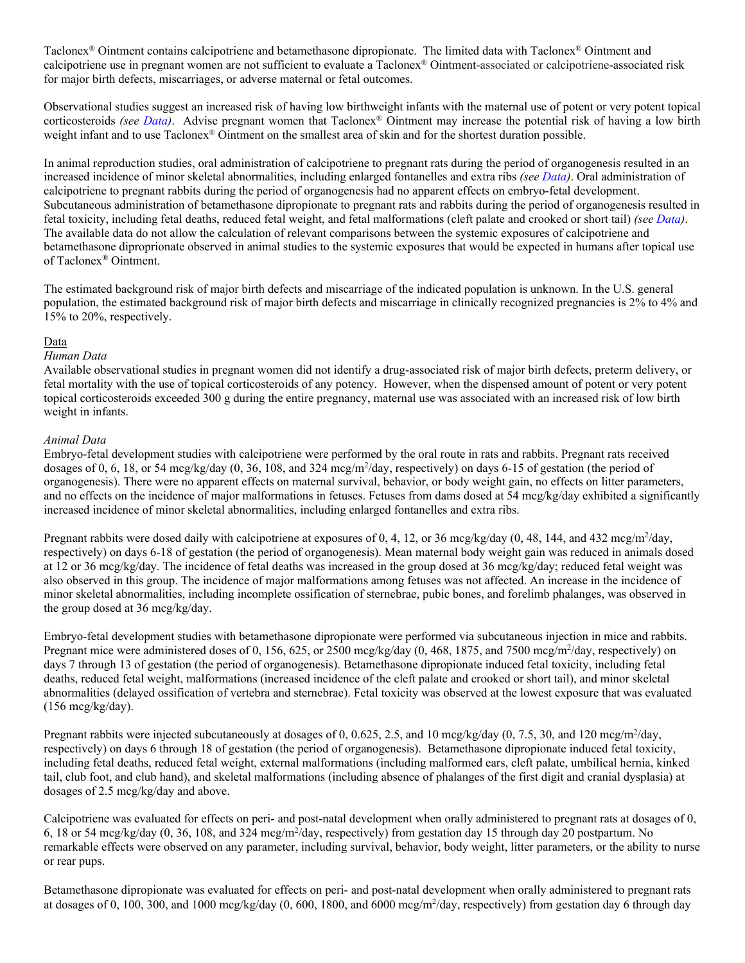Taclonex® Ointment contains calcipotriene and betamethasone dipropionate. The limited data with Taclonex® Ointment and calcipotriene use in pregnant women are not sufficient to evaluate a Taclonex® Ointment-associated or calcipotriene-associated risk for major birth defects, miscarriages, or adverse maternal or fetal outcomes.

Observational studies suggest an increased risk of having low birthweight infants with the maternal use of potent or very potent topical corticosteroids *(see [Data\)](#page-4-0)*. Advise pregnant women that Taclonex® Ointment may increase the potential risk of having a low birth weight infant and to use Taclonex® Ointment on the smallest area of skin and for the shortest duration possible.

In animal reproduction studies, oral administration of calcipotriene to pregnant rats during the period of organogenesis resulted in an increased incidence of minor skeletal abnormalities, including enlarged fontanelles and extra ribs *(see [Data\)](#page-4-0)*. Oral administration of calcipotriene to pregnant rabbits during the period of organogenesis had no apparent effects on embryo-fetal development. Subcutaneous administration of betamethasone dipropionate to pregnant rats and rabbits during the period of organogenesis resulted in fetal toxicity, including fetal deaths, reduced fetal weight, and fetal malformations (cleft palate and crooked or short tail) *(se[e Data\)](#page-4-0)*. The available data do not allow the calculation of relevant comparisons between the systemic exposures of calcipotriene and betamethasone diproprionate observed in animal studies to the systemic exposures that would be expected in humans after topical use of Taclonex® Ointment.

The estimated background risk of major birth defects and miscarriage of the indicated population is unknown. In the U.S. general population, the estimated background risk of major birth defects and miscarriage in clinically recognized pregnancies is 2% to 4% and 15% to 20%, respectively.

### <span id="page-4-0"></span>Data

### *Human Data*

Available observational studies in pregnant women did not identify a drug-associated risk of major birth defects, preterm delivery, or fetal mortality with the use of topical corticosteroids of any potency. However, when the dispensed amount of potent or very potent topical corticosteroids exceeded 300 g during the entire pregnancy, maternal use was associated with an increased risk of low birth weight in infants.

### *Animal Data*

Embryo-fetal development studies with calcipotriene were performed by the oral route in rats and rabbits. Pregnant rats received dosages of 0, 6, 18, or 54 mcg/kg/day (0, 36, 108, and 324 mcg/m<sup>2</sup>/day, respectively) on days 6-15 of gestation (the period of organogenesis). There were no apparent effects on maternal survival, behavior, or body weight gain, no effects on litter parameters, and no effects on the incidence of major malformations in fetuses. Fetuses from dams dosed at 54 mcg/kg/day exhibited a significantly increased incidence of minor skeletal abnormalities, including enlarged fontanelles and extra ribs.

Pregnant rabbits were dosed daily with calcipotriene at exposures of 0, 4, 12, or 36 mcg/kg/day (0, 48, 144, and 432 mcg/m<sup>2</sup>/day, respectively) on days 6-18 of gestation (the period of organogenesis). Mean maternal body weight gain was reduced in animals dosed at 12 or 36 mcg/kg/day. The incidence of fetal deaths was increased in the group dosed at 36 mcg/kg/day; reduced fetal weight was also observed in this group. The incidence of major malformations among fetuses was not affected. An increase in the incidence of minor skeletal abnormalities, including incomplete ossification of sternebrae, pubic bones, and forelimb phalanges, was observed in the group dosed at 36 mcg/kg/day.

Embryo-fetal development studies with betamethasone dipropionate were performed via subcutaneous injection in mice and rabbits. Pregnant mice were administered doses of 0, 156, 625, or 2500 mcg/kg/day (0, 468, 1875, and 7500 mcg/m<sup>2</sup>/day, respectively) on days 7 through 13 of gestation (the period of organogenesis). Betamethasone dipropionate induced fetal toxicity, including fetal deaths, reduced fetal weight, malformations (increased incidence of the cleft palate and crooked or short tail), and minor skeletal abnormalities (delayed ossification of vertebra and sternebrae). Fetal toxicity was observed at the lowest exposure that was evaluated  $(156 \text{~mcg/kg/day}).$ 

Pregnant rabbits were injected subcutaneously at dosages of 0, 0.625, 2.5, and 10 mcg/kg/day (0, 7.5, 30, and 120 mcg/m<sup>2</sup>/day, respectively) on days 6 through 18 of gestation (the period of organogenesis). Betamethasone dipropionate induced fetal toxicity, including fetal deaths, reduced fetal weight, external malformations (including malformed ears, cleft palate, umbilical hernia, kinked tail, club foot, and club hand), and skeletal malformations (including absence of phalanges of the first digit and cranial dysplasia) at dosages of 2.5 mcg/kg/day and above.

Calcipotriene was evaluated for effects on peri- and post-natal development when orally administered to pregnant rats at dosages of 0, 6, 18 or 54 mcg/kg/day (0, 36, 108, and 324 mcg/m<sup>2</sup>/day, respectively) from gestation day 15 through day 20 postpartum. No remarkable effects were observed on any parameter, including survival, behavior, body weight, litter parameters, or the ability to nurse or rear pups.

Betamethasone dipropionate was evaluated for effects on peri- and post-natal development when orally administered to pregnant rats at dosages of 0, 100, 300, and 1000 mcg/kg/day  $(0, 600, 1800,$  and  $6000$  mcg/m<sup>2</sup>/day, respectively) from gestation day 6 through day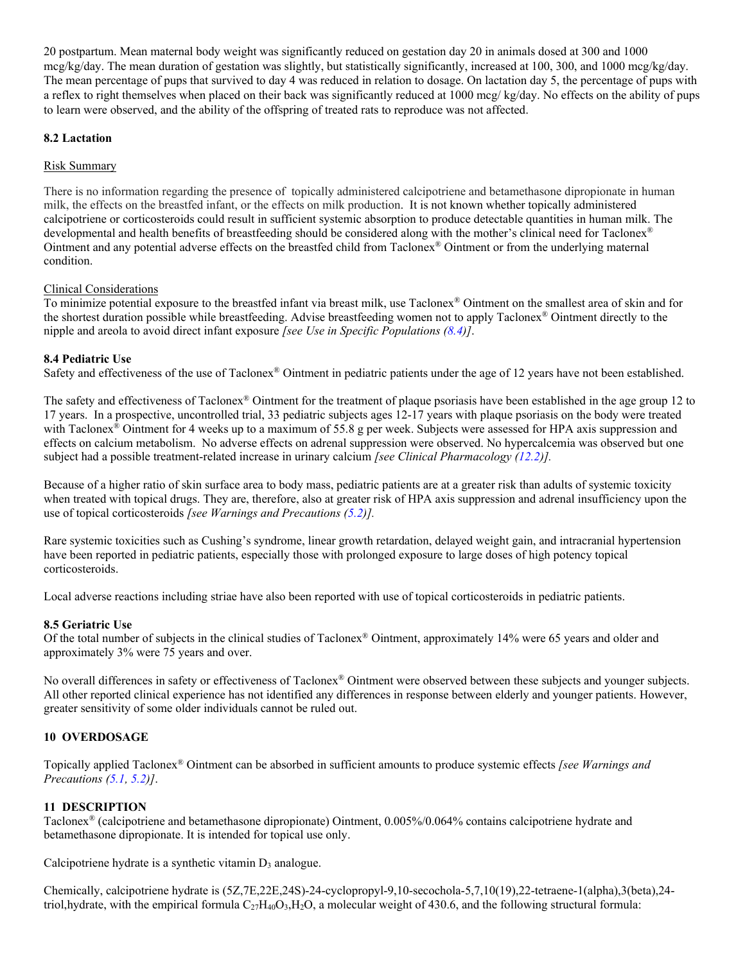20 postpartum. Mean maternal body weight was significantly reduced on gestation day 20 in animals dosed at 300 and 1000 mcg/kg/day. The mean duration of gestation was slightly, but statistically significantly, increased at 100, 300, and 1000 mcg/kg/day. The mean percentage of pups that survived to day 4 was reduced in relation to dosage. On lactation day 5, the percentage of pups with a reflex to right themselves when placed on their back was significantly reduced at 1000 mcg/ kg/day. No effects on the ability of pups to learn were observed, and the ability of the offspring of treated rats to reproduce was not affected.

### <span id="page-5-1"></span>**8.2 Lactation**

### Risk Summary

There is no information regarding the presence of topically administered calcipotriene and betamethasone dipropionate in human milk, the effects on the breastfed infant, or the effects on milk production. It is not known whether topically administered calcipotriene or corticosteroids could result in sufficient systemic absorption to produce detectable quantities in human milk. The developmental and health benefits of breastfeeding should be considered along with the mother's clinical need for Taclonex® Ointment and any potential adverse effects on the breastfed child from Taclonex® Ointment or from the underlying maternal condition.

### Clinical Considerations

To minimize potential exposure to the breastfed infant via breast milk, use Taclonex® Ointment on the smallest area of skin and for the shortest duration possible while breastfeeding. Advise breastfeeding women not to apply Taclonex® Ointment directly to the nipple and areola to avoid direct infant exposure *[see Use in Specific Populations [\(8.4\)](#page-5-0)]*.

### <span id="page-5-0"></span>**8.4 Pediatric Use**

Safety and effectiveness of the use of Taclonex® Ointment in pediatric patients under the age of 12 years have not been established.

The safety and effectiveness of Taclonex® Ointment for the treatment of plaque psoriasis have been established in the age group 12 to 17 years. In a prospective, uncontrolled trial, 33 pediatric subjects ages 12-17 years with plaque psoriasis on the body were treated with Taclonex<sup>®</sup> Ointment for 4 weeks up to a maximum of 55.8 g per week. Subjects were assessed for HPA axis suppression and effects on calcium metabolism. No adverse effects on adrenal suppression were observed. No hypercalcemia was observed but one subject had a possible treatment-related increase in urinary calcium *[see Clinical Pharmacology [\(12.2\)](#page-6-2)].*

Because of a higher ratio of skin surface area to body mass, pediatric patients are at a greater risk than adults of systemic toxicity when treated with topical drugs. They are, therefore, also at greater risk of HPA axis suppression and adrenal insufficiency upon the use of topical corticosteroids *[see Warnings and Precautions [\(5.2\)](#page-1-5)].*

Rare systemic toxicities such as Cushing's syndrome, linear growth retardation, delayed weight gain, and intracranial hypertension have been reported in pediatric patients, especially those with prolonged exposure to large doses of high potency topical corticosteroids.

Local adverse reactions including striae have also been reported with use of topical corticosteroids in pediatric patients.

### <span id="page-5-2"></span>**8.5 Geriatric Use**

Of the total number of subjects in the clinical studies of Taclonex® Ointment, approximately 14% were 65 years and older and approximately 3% were 75 years and over.

No overall differences in safety or effectiveness of Taclonex® Ointment were observed between these subjects and younger subjects. All other reported clinical experience has not identified any differences in response between elderly and younger patients. However, greater sensitivity of some older individuals cannot be ruled out.

### <span id="page-5-3"></span>**10 OVERDOSAGE**

Topically applied Taclonex® Ointment can be absorbed in sufficient amounts to produce systemic effects *[see Warnings and Precautions [\(5.1,](#page-1-4) [5.2\)](#page-1-5)]*.

### <span id="page-5-4"></span>**11 DESCRIPTION**

Taclonex® (calcipotriene and betamethasone dipropionate) Ointment, 0.005%/0.064% contains calcipotriene hydrate and betamethasone dipropionate. It is intended for topical use only.

Calcipotriene hydrate is a synthetic vitamin  $D_3$  analogue.

Chemically, calcipotriene hydrate is (5Z,7E,22E,24S)-24-cyclopropyl-9,10-secochola-5,7,10(19),22-tetraene-1(alpha),3(beta),24 triol,hydrate, with the empirical formula  $C_{27}H_{40}O_3$ ,  $H_2O$ , a molecular weight of 430.6, and the following structural formula: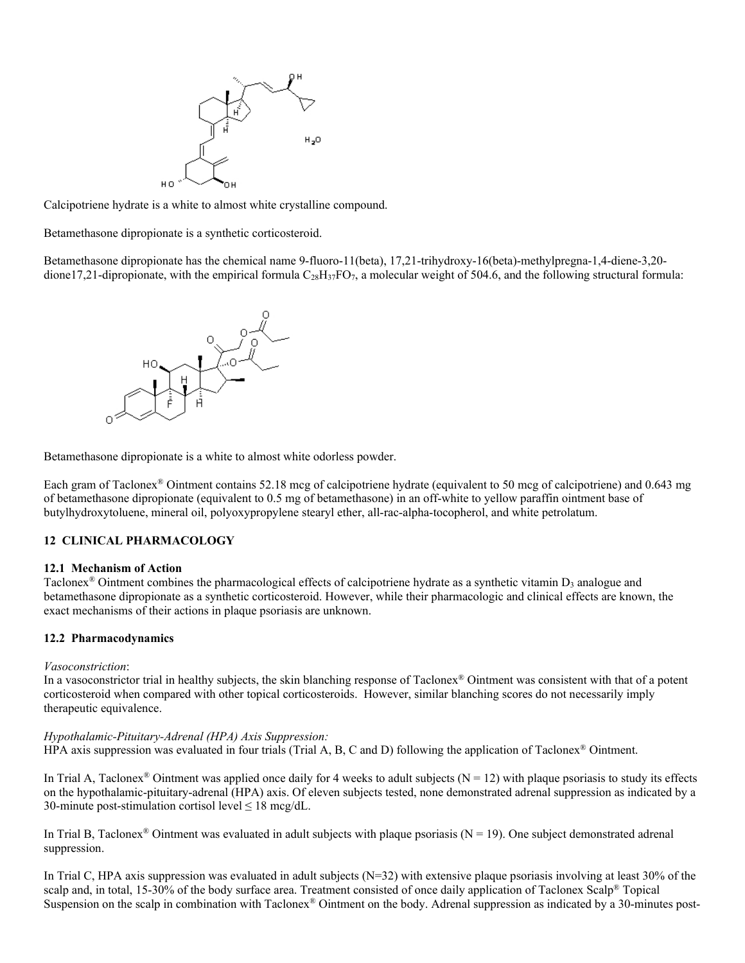

Calcipotriene hydrate is a white to almost white crystalline compound.

Betamethasone dipropionate is a synthetic corticosteroid.

Betamethasone dipropionate has the chemical name 9-fluoro-11(beta), 17,21-trihydroxy-16(beta)-methylpregna-1,4-diene-3,20 dione17,21-dipropionate, with the empirical formula  $C_{28}H_{37}FO_7$ , a molecular weight of 504.6, and the following structural formula:



Betamethasone dipropionate is a white to almost white odorless powder.

Each gram of Taclonex® Ointment contains 52.18 mcg of calcipotriene hydrate (equivalent to 50 mcg of calcipotriene) and 0.643 mg of betamethasone dipropionate (equivalent to 0.5 mg of betamethasone) in an off-white to yellow paraffin ointment base of butylhydroxytoluene, mineral oil, polyoxypropylene stearyl ether, all-rac-alpha-tocopherol, and white petrolatum.

### <span id="page-6-0"></span>**12 CLINICAL PHARMACOLOGY**

#### <span id="page-6-1"></span>**12.1 Mechanism of Action**

Taclonex<sup>®</sup> Ointment combines the pharmacological effects of calcipotriene hydrate as a synthetic vitamin  $D_3$  analogue and betamethasone dipropionate as a synthetic corticosteroid. However, while their pharmacologic and clinical effects are known, the exact mechanisms of their actions in plaque psoriasis are unknown.

#### <span id="page-6-2"></span>**12.2 Pharmacodynamics**

#### *Vasoconstriction*:

In a vasoconstrictor trial in healthy subjects, the skin blanching response of Taclonex® Ointment was consistent with that of a potent corticosteroid when compared with other topical corticosteroids. However, similar blanching scores do not necessarily imply therapeutic equivalence.

#### *Hypothalamic-Pituitary-Adrenal (HPA) Axis Suppression:*

HPA axis suppression was evaluated in four trials (Trial A, B, C and D) following the application of Taclonex® Ointment.

In Trial A, Taclonex<sup>®</sup> Ointment was applied once daily for 4 weeks to adult subjects ( $N = 12$ ) with plaque psoriasis to study its effects on the hypothalamic-pituitary-adrenal (HPA) axis. Of eleven subjects tested, none demonstrated adrenal suppression as indicated by a 30-minute post-stimulation cortisol level  $\leq 18$  mcg/dL.

In Trial B, Taclonex<sup>®</sup> Ointment was evaluated in adult subjects with plaque psoriasis ( $N = 19$ ). One subject demonstrated adrenal suppression.

In Trial C, HPA axis suppression was evaluated in adult subjects (N=32) with extensive plaque psoriasis involving at least 30% of the scalp and, in total, 15-30% of the body surface area. Treatment consisted of once daily application of Taclonex Scalp® Topical Suspension on the scalp in combination with Taclonex® Ointment on the body. Adrenal suppression as indicated by a 30-minutes post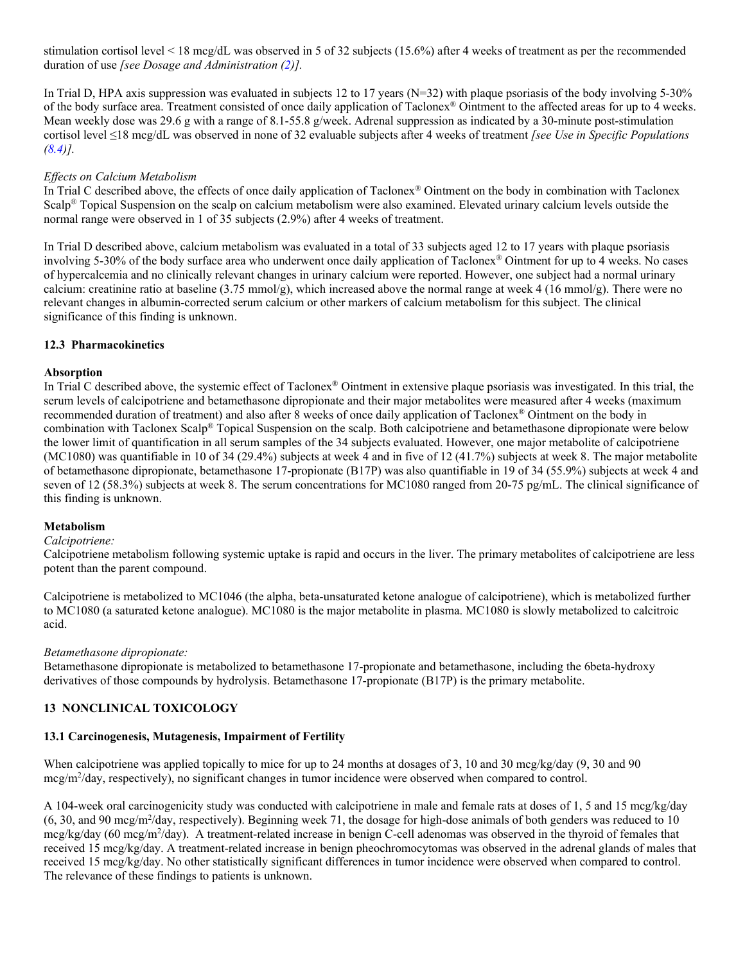stimulation cortisol level < 18 mcg/dL was observed in 5 of 32 subjects (15.6%) after 4 weeks of treatment as per the recommended duration of use *[see Dosage and Administration [\(2\)](#page-1-1)].*

In Trial D, HPA axis suppression was evaluated in subjects 12 to 17 years (N=32) with plaque psoriasis of the body involving 5-30% of the body surface area. Treatment consisted of once daily application of Taclonex® Ointment to the affected areas for up to 4 weeks. Mean weekly dose was 29.6 g with a range of 8.1-55.8 g/week. Adrenal suppression as indicated by a 30-minute post-stimulation cortisol level ≤18 mcg/dL was observed in none of 32 evaluable subjects after 4 weeks of treatment *[see Use in Specific Populations [\(8.4\)](#page-5-0)].*

### *Effects on Calcium Metabolism*

In Trial C described above, the effects of once daily application of Taclonex® Ointment on the body in combination with Taclonex Scalp® Topical Suspension on the scalp on calcium metabolism were also examined. Elevated urinary calcium levels outside the normal range were observed in 1 of 35 subjects (2.9%) after 4 weeks of treatment.

In Trial D described above, calcium metabolism was evaluated in a total of 33 subjects aged 12 to 17 years with plaque psoriasis involving 5-30% of the body surface area who underwent once daily application of Taclonex® Ointment for up to 4 weeks. No cases of hypercalcemia and no clinically relevant changes in urinary calcium were reported. However, one subject had a normal urinary calcium: creatinine ratio at baseline (3.75 mmol/g), which increased above the normal range at week 4 (16 mmol/g). There were no relevant changes in albumin-corrected serum calcium or other markers of calcium metabolism for this subject. The clinical significance of this finding is unknown.

### <span id="page-7-0"></span>**12.3 Pharmacokinetics**

### **Absorption**

In Trial C described above, the systemic effect of Taclonex® Ointment in extensive plaque psoriasis was investigated. In this trial, the serum levels of calcipotriene and betamethasone dipropionate and their major metabolites were measured after 4 weeks (maximum recommended duration of treatment) and also after 8 weeks of once daily application of Taclonex® Ointment on the body in combination with Taclonex Scalp® Topical Suspension on the scalp. Both calcipotriene and betamethasone dipropionate were below the lower limit of quantification in all serum samples of the 34 subjects evaluated. However, one major metabolite of calcipotriene (MC1080) was quantifiable in 10 of 34 (29.4%) subjects at week 4 and in five of 12 (41.7%) subjects at week 8. The major metabolite of betamethasone dipropionate, betamethasone 17-propionate (B17P) was also quantifiable in 19 of 34 (55.9%) subjects at week 4 and seven of 12 (58.3%) subjects at week 8. The serum concentrations for MC1080 ranged from 20-75 pg/mL. The clinical significance of this finding is unknown.

### **Metabolism**

#### *Calcipotriene:*

Calcipotriene metabolism following systemic uptake is rapid and occurs in the liver. The primary metabolites of calcipotriene are less potent than the parent compound.

Calcipotriene is metabolized to MC1046 (the alpha, beta-unsaturated ketone analogue of calcipotriene), which is metabolized further to MC1080 (a saturated ketone analogue). MC1080 is the major metabolite in plasma. MC1080 is slowly metabolized to calcitroic acid.

#### *Betamethasone dipropionate:*

Betamethasone dipropionate is metabolized to betamethasone 17-propionate and betamethasone, including the 6beta-hydroxy derivatives of those compounds by hydrolysis. Betamethasone 17-propionate (B17P) is the primary metabolite.

### <span id="page-7-1"></span>**13 NONCLINICAL TOXICOLOGY**

### <span id="page-7-2"></span>**13.1 Carcinogenesis, Mutagenesis, Impairment of Fertility**

When calcipotriene was applied topically to mice for up to 24 months at dosages of 3, 10 and 30 mcg/kg/day (9, 30 and 90) mcg/m<sup>2</sup>/day, respectively), no significant changes in tumor incidence were observed when compared to control.

A 104-week oral carcinogenicity study was conducted with calcipotriene in male and female rats at doses of 1, 5 and 15 mcg/kg/day (6, 30, and 90 mcg/m<sup>2</sup>/day, respectively). Beginning week 71, the dosage for high-dose animals of both genders was reduced to 10 mcg/kg/day (60 mcg/m<sup>2</sup>/day). A treatment-related increase in benign C-cell adenomas was observed in the thyroid of females that received 15 mcg/kg/day. A treatment-related increase in benign pheochromocytomas was observed in the adrenal glands of males that received 15 mcg/kg/day. No other statistically significant differences in tumor incidence were observed when compared to control. The relevance of these findings to patients is unknown.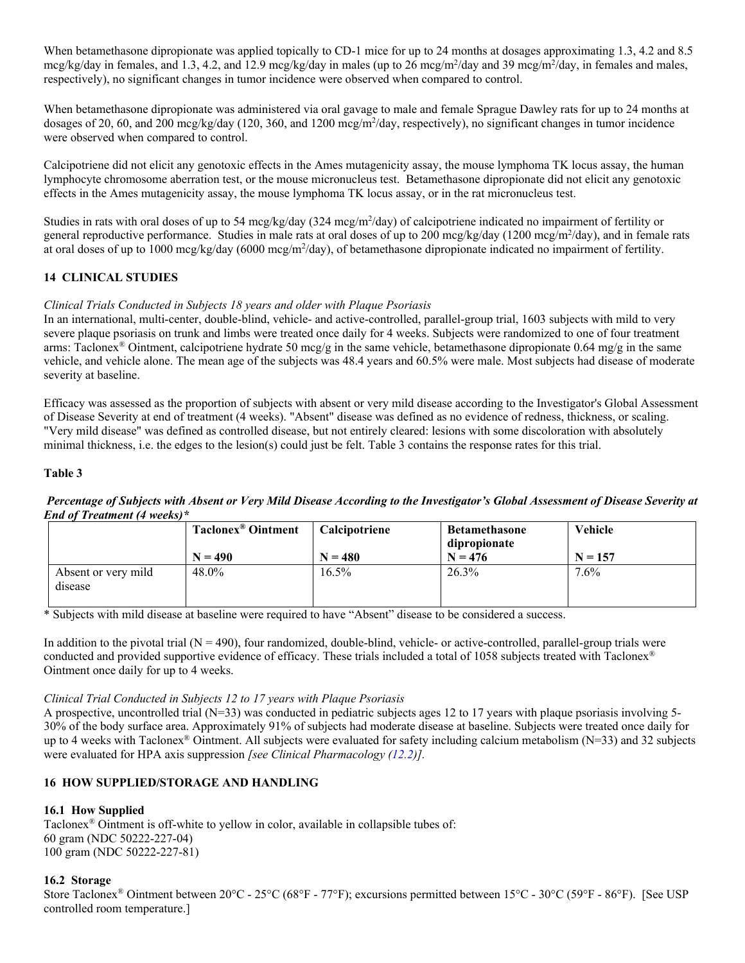When betamethasone dipropionate was applied topically to CD-1 mice for up to 24 months at dosages approximating 1.3, 4.2 and 8.5 mcg/kg/day in females, and 1.3, 4.2, and 12.9 mcg/kg/day in males (up to 26 mcg/m<sup>2</sup>/day and 39 mcg/m<sup>2</sup>/day, in females and males, respectively), no significant changes in tumor incidence were observed when compared to control.

When betamethasone dipropionate was administered via oral gavage to male and female Sprague Dawley rats for up to 24 months at dosages of 20, 60, and 200 mcg/kg/day (120, 360, and 1200 mcg/m<sup>2</sup>/day, respectively), no significant changes in tumor incidence were observed when compared to control.

Calcipotriene did not elicit any genotoxic effects in the Ames mutagenicity assay, the mouse lymphoma TK locus assay, the human lymphocyte chromosome aberration test, or the mouse micronucleus test. Betamethasone dipropionate did not elicit any genotoxic effects in the Ames mutagenicity assay, the mouse lymphoma TK locus assay, or in the rat micronucleus test.

Studies in rats with oral doses of up to 54 mcg/kg/day (324 mcg/m<sup>2</sup>/day) of calcipotriene indicated no impairment of fertility or general reproductive performance. Studies in male rats at oral doses of up to 200 mcg/kg/day (1200 mcg/m<sup>2</sup>/day), and in female rats at oral doses of up to 1000 mcg/kg/day (6000 mcg/m<sup>2</sup>/day), of betamethasone dipropionate indicated no impairment of fertility.

# <span id="page-8-1"></span>**14 CLINICAL STUDIES**

# *Clinical Trials Conducted in Subjects 18 years and older with Plaque Psoriasis*

In an international, multi-center, double-blind, vehicle- and active-controlled, parallel-group trial, 1603 subjects with mild to very severe plaque psoriasis on trunk and limbs were treated once daily for 4 weeks. Subjects were randomized to one of four treatment arms: Taclonex<sup>®</sup> Ointment, calcipotriene hydrate 50 mcg/g in the same vehicle, betamethasone dipropionate 0.64 mg/g in the same vehicle, and vehicle alone. The mean age of the subjects was 48.4 years and 60.5% were male. Most subjects had disease of moderate severity at baseline.

Efficacy was assessed as the proportion of subjects with absent or very mild disease according to the Investigator's Global Assessment of Disease Severity at end of treatment (4 weeks). "Absent" disease was defined as no evidence of redness, thickness, or scaling. "Very mild disease" was defined as controlled disease, but not entirely cleared: lesions with some discoloration with absolutely minimal thickness, i.e. the edges to the lesion(s) could just be felt. Table 3 contains the response rates for this trial.

### **Table 3**

### *Percentage of Subjects with Absent or Very Mild Disease According to the Investigator's Global Assessment of Disease Severity at End of Treatment (4 weeks)\**

|                                | <b>Taclonex®</b> Ointment | Calcipotriene | <b>Betamethasone</b><br>dipropionate | <b>Vehicle</b> |
|--------------------------------|---------------------------|---------------|--------------------------------------|----------------|
|                                | $N = 490$                 | $N = 480$     | $N = 476$                            | $N = 157$      |
| Absent or very mild<br>disease | 48.0%                     | $16.5\%$      | 26.3%                                | $7.6\%$        |

\* Subjects with mild disease at baseline were required to have "Absent" disease to be considered a success.

In addition to the pivotal trial  $(N = 490)$ , four randomized, double-blind, vehicle- or active-controlled, parallel-group trials were conducted and provided supportive evidence of efficacy. These trials included a total of 1058 subjects treated with Taclonex® Ointment once daily for up to 4 weeks.

### *Clinical Trial Conducted in Subjects 12 to 17 years with Plaque Psoriasis*

A prospective, uncontrolled trial  $(N=33)$  was conducted in pediatric subjects ages 12 to 17 years with plaque psoriasis involving 5-30% of the body surface area. Approximately 91% of subjects had moderate disease at baseline. Subjects were treated once daily for up to 4 weeks with Taclonex<sup>®</sup> Ointment. All subjects were evaluated for safety including calcium metabolism ( $N=33$ ) and 32 subjects were evaluated for HPA axis suppression *[see Clinical Pharmacology [\(12.2\)](#page-6-2)].*

# <span id="page-8-2"></span>**16 HOW SUPPLIED/STORAGE AND HANDLING**

# <span id="page-8-0"></span>**16.1 How Supplied**

Taclonex® Ointment is off-white to yellow in color, available in collapsible tubes of: 60 gram (NDC 50222-227-04) 100 gram (NDC 50222-227-81)

### <span id="page-8-3"></span>**16.2 Storage**

Store Taclonex® Ointment between 20°C - 25°C (68°F - 77°F); excursions permitted between 15°C - 30°C (59°F - 86°F). [See USP controlled room temperature.]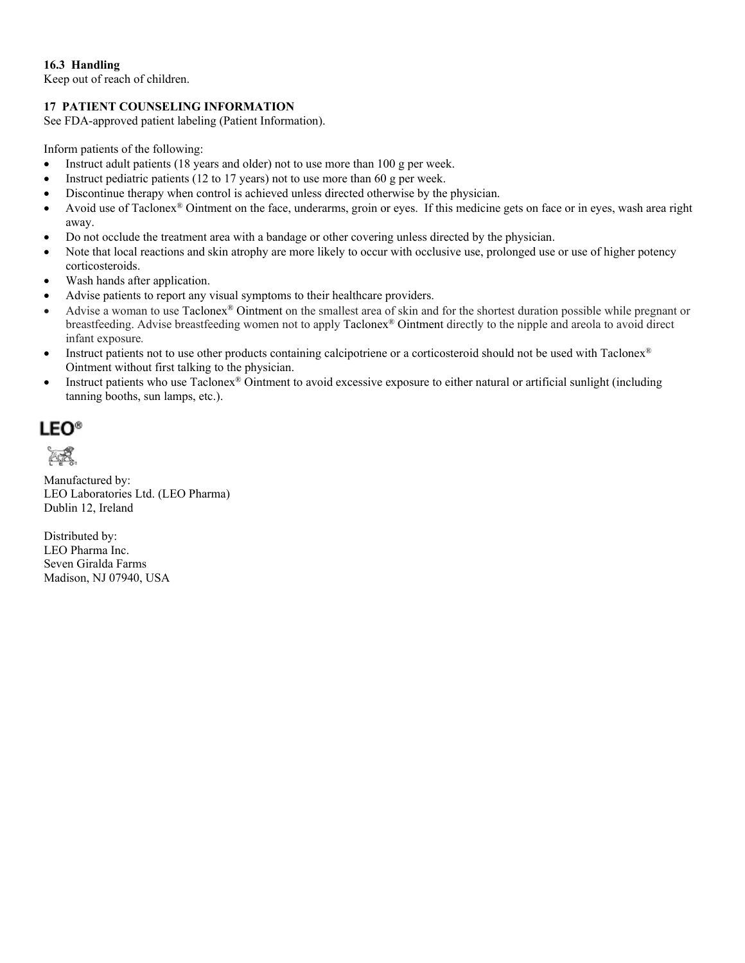# <span id="page-9-0"></span>**16.3 Handling**

Keep out of reach of children.

# <span id="page-9-1"></span>**17 PATIENT COUNSELING INFORMATION**

See FDA-approved patient labeling (Patient Information).

Inform patients of the following:

- Instruct adult patients (18 years and older) not to use more than 100 g per week.
- Instruct pediatric patients (12 to 17 years) not to use more than 60 g per week.
- Discontinue therapy when control is achieved unless directed otherwise by the physician.
- Avoid use of Taclonex® Ointment on the face, underarms, groin or eyes. If this medicine gets on face or in eyes, wash area right away.
- Do not occlude the treatment area with a bandage or other covering unless directed by the physician.
- Note that local reactions and skin atrophy are more likely to occur with occlusive use, prolonged use or use of higher potency corticosteroids.
- Wash hands after application.
- Advise patients to report any visual symptoms to their healthcare providers.
- Advise a woman to use Taclonex® Ointment on the smallest area of skin and for the shortest duration possible while pregnant or breastfeeding. Advise breastfeeding women not to apply Taclonex® Ointment directly to the nipple and areola to avoid direct infant exposure*.*
- Instruct patients not to use other products containing calcipotriene or a corticosteroid should not be used with Taclonex® Ointment without first talking to the physician.
- Instruct patients who use Taclonex® Ointment to avoid excessive exposure to either natural or artificial sunlight (including tanning booths, sun lamps, etc.).

**LEO®** 

ÆŘ

Manufactured by: LEO Laboratories Ltd. (LEO Pharma) Dublin 12, Ireland

Distributed by: LEO Pharma Inc. Seven Giralda Farms Madison, NJ 07940, USA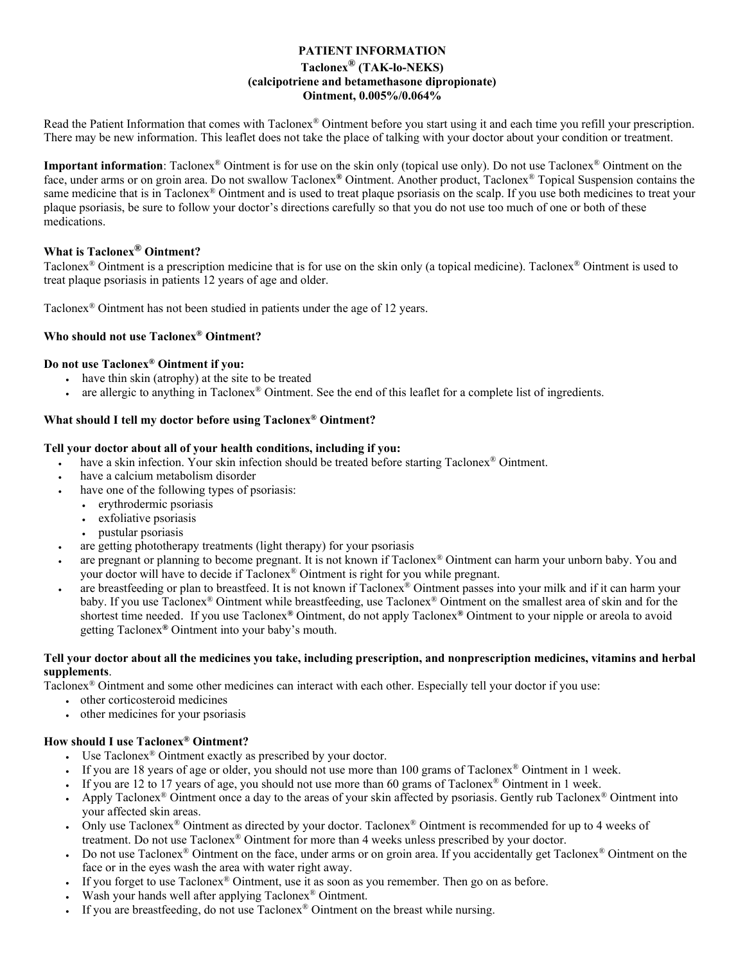# **PATIENT INFORMATION Taclonex® (TAK-lo-NEKS) (calcipotriene and betamethasone dipropionate) Ointment, 0.005%/0.064%**

Read the Patient Information that comes with Taclonex® Ointment before you start using it and each time you refill your prescription. There may be new information. This leaflet does not take the place of talking with your doctor about your condition or treatment.

**Important information**: Taclonex® Ointment is for use on the skin only (topical use only). Do not use Taclonex® Ointment on the face, under arms or on groin area. Do not swallow Taclonex**®** Ointment. Another product, Taclonex® Topical Suspension contains the same medicine that is in Taclonex® Ointment and is used to treat plaque psoriasis on the scalp. If you use both medicines to treat your plaque psoriasis, be sure to follow your doctor's directions carefully so that you do not use too much of one or both of these medications.

# **What is Taclonex® Ointment?**

Taclonex® Ointment is a prescription medicine that is for use on the skin only (a topical medicine). Taclonex® Ointment is used to treat plaque psoriasis in patients 12 years of age and older.

Taclonex® Ointment has not been studied in patients under the age of 12 years.

### **Who should not use Taclonex® Ointment?**

### **Do not use Taclonex® Ointment if you:**

- have thin skin (atrophy) at the site to be treated
- are allergic to anything in Taclonex<sup>®</sup> Ointment. See the end of this leaflet for a complete list of ingredients.

### **What should I tell my doctor before using Taclonex® Ointment?**

### **Tell your doctor about all of your health conditions, including if you:**

- have a skin infection. Your skin infection should be treated before starting Taclonex® Ointment.
- have a calcium metabolism disorder
- have one of the following types of psoriasis:
	- erythrodermic psoriasis
	- exfoliative psoriasis
	- pustular psoriasis
- are getting phototherapy treatments (light therapy) for your psoriasis
- are pregnant or planning to become pregnant. It is not known if Taclonex® Ointment can harm your unborn baby. You and your doctor will have to decide if Taclonex® Ointment is right for you while pregnant.
- are breastfeeding or plan to breastfeed. It is not known if Taclonex<sup>®</sup> Ointment passes into your milk and if it can harm your baby. If you use Taclonex® Ointment while breastfeeding, use Taclonex® Ointment on the smallest area of skin and for the shortest time needed. If you use Taclonex**®** Ointment, do not apply Taclonex**®** Ointment to your nipple or areola to avoid getting Taclonex**®** Ointment into your baby's mouth.

### **Tell your doctor about all the medicines you take, including prescription, and nonprescription medicines, vitamins and herbal supplements**.

Taclonex® Ointment and some other medicines can interact with each other. Especially tell your doctor if you use:

- other corticosteroid medicines
- other medicines for your psoriasis

### **How should I use Taclonex® Ointment?**

- Use Taclonex® Ointment exactly as prescribed by your doctor.
- If you are 18 years of age or older, you should not use more than 100 grams of Taclonex® Ointment in 1 week.
- If you are 12 to 17 years of age, you should not use more than 60 grams of Taclonex<sup>®</sup> Ointment in 1 week.
- Apply Taclonex<sup>®</sup> Ointment once a day to the areas of your skin affected by psoriasis. Gently rub Taclonex<sup>®</sup> Ointment into your affected skin areas.
- Only use Taclonex® Ointment as directed by your doctor. Taclonex® Ointment is recommended for up to 4 weeks of treatment. Do not use Taclonex® Ointment for more than 4 weeks unless prescribed by your doctor.
- Do not use Taclonex<sup>®</sup> Ointment on the face, under arms or on groin area. If you accidentally get Taclonex<sup>®</sup> Ointment on the face or in the eyes wash the area with water right away.
- If you forget to use Taclonex® Ointment, use it as soon as you remember. Then go on as before.
- Wash your hands well after applying Taclonex<sup>®</sup> Ointment.
- If you are breastfeeding, do not use Taclonex® Ointment on the breast while nursing.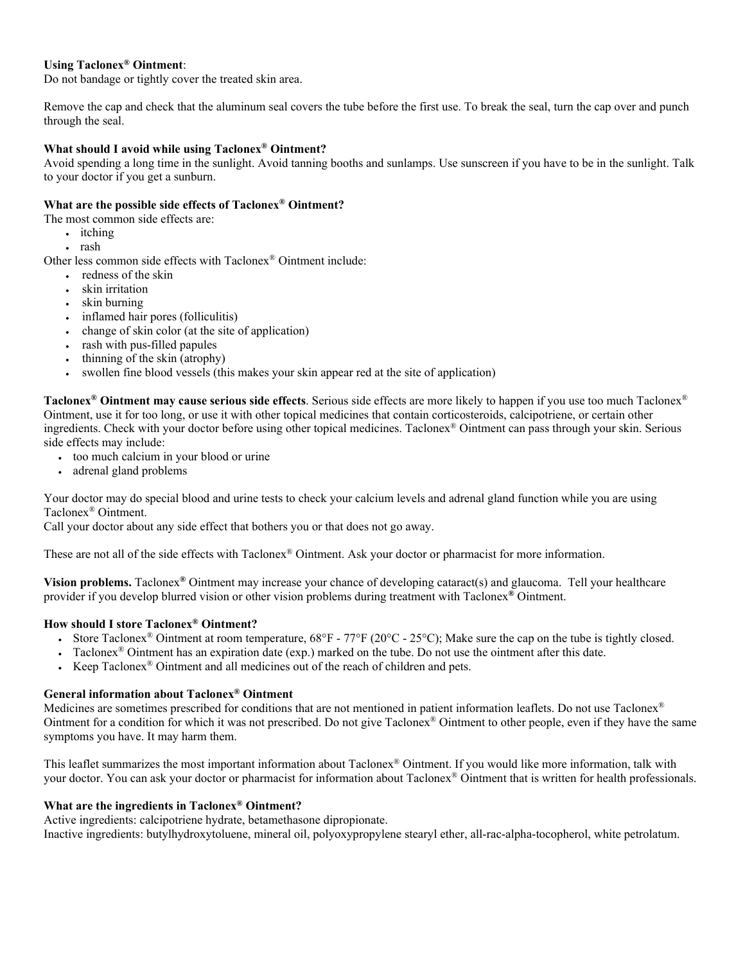### **Using Taclonex® Ointment**:

Do not bandage or tightly cover the treated skin area.

Remove the cap and check that the aluminum seal covers the tube before the first use. To break the seal, turn the cap over and punch through the seal.

### **What should I avoid while using Taclonex® Ointment?**

Avoid spending a long time in the sunlight. Avoid tanning booths and sunlamps. Use sunscreen if you have to be in the sunlight. Talk to your doctor if you get a sunburn.

### **What are the possible side effects of Taclonex® Ointment?**

- The most common side effects are:
	- itching
	- rash

Other less common side effects with Taclonex® Ointment include:

- redness of the skin
- skin irritation
- skin burning
- inflamed hair pores (folliculitis)
- change of skin color (at the site of application)
- rash with pus-filled papules
- thinning of the skin (atrophy)
- swollen fine blood vessels (this makes your skin appear red at the site of application)

**Taclonex® Ointment may cause serious side effects**. Serious side effects are more likely to happen if you use too much Taclonex® Ointment, use it for too long, or use it with other topical medicines that contain corticosteroids, calcipotriene, or certain other ingredients. Check with your doctor before using other topical medicines. Taclonex® Ointment can pass through your skin. Serious side effects may include:

- too much calcium in your blood or urine
- adrenal gland problems

Your doctor may do special blood and urine tests to check your calcium levels and adrenal gland function while you are using Taclonex® Ointment.

Call your doctor about any side effect that bothers you or that does not go away.

These are not all of the side effects with Taclonex® Ointment. Ask your doctor or pharmacist for more information.

**Vision problems.** Taclonex**®** Ointment may increase your chance of developing cataract(s) and glaucoma. Tell your healthcare provider if you develop blurred vision or other vision problems during treatment with Taclonex**®** Ointment.

### **How should I store Taclonex® Ointment?**

- Store Taclonex<sup>®</sup> Ointment at room temperature,  $68^{\circ}F 77^{\circ}F (20^{\circ}C 25^{\circ}C)$ ; Make sure the cap on the tube is tightly closed.
- Taclonex<sup>®</sup> Ointment has an expiration date (exp.) marked on the tube. Do not use the ointment after this date.
- Keep Taclonex® Ointment and all medicines out of the reach of children and pets.

#### **General information about Taclonex® Ointment**

Medicines are sometimes prescribed for conditions that are not mentioned in patient information leaflets. Do not use Taclonex® Ointment for a condition for which it was not prescribed. Do not give Taclonex<sup>®</sup> Ointment to other people, even if they have the same symptoms you have. It may harm them.

This leaflet summarizes the most important information about Taclonex® Ointment. If you would like more information, talk with your doctor. You can ask your doctor or pharmacist for information about Taclonex® Ointment that is written for health professionals.

#### **What are the ingredients in Taclonex® Ointment?**

Active ingredients: calcipotriene hydrate, betamethasone dipropionate. Inactive ingredients: butylhydroxytoluene, mineral oil, polyoxypropylene stearyl ether, all-rac-alpha-tocopherol, white petrolatum.